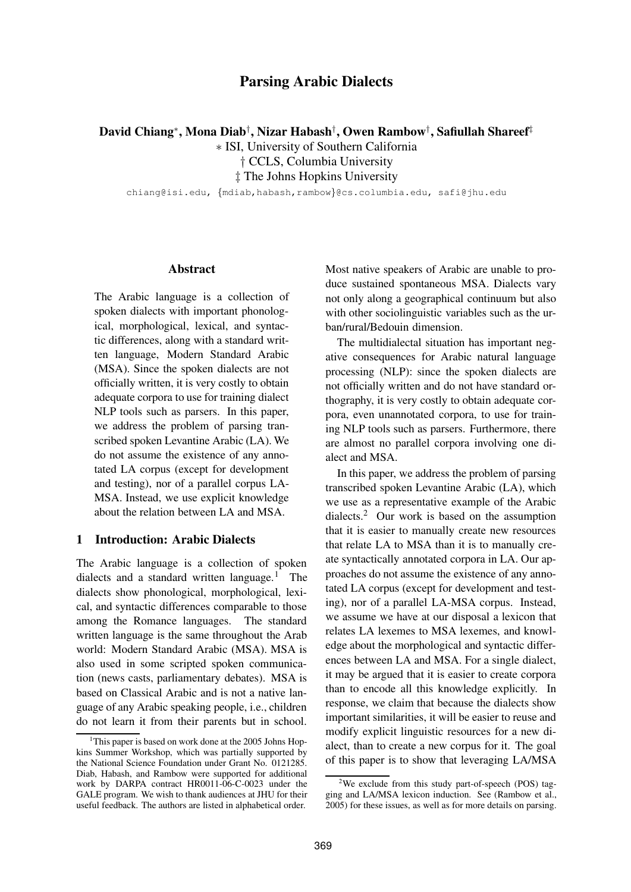# **Parsing Arabic Dialects**

**David Chiang**<sup>∗</sup> **, Mona Diab**† **, Nizar Habash**† **, Owen Rambow**† **, Safiullah Shareef**‡

∗ ISI, University of Southern California

† CCLS, Columbia University

‡ The Johns Hopkins University

chiang@isi.edu, {mdiab,habash,rambow}@cs.columbia.edu, safi@jhu.edu

#### **Abstract**

The Arabic language is a collection of spoken dialects with important phonological, morphological, lexical, and syntactic differences, along with a standard written language, Modern Standard Arabic (MSA). Since the spoken dialects are not officially written, it is very costly to obtain adequate corpora to use for training dialect NLP tools such as parsers. In this paper, we address the problem of parsing transcribed spoken Levantine Arabic (LA). We do not assume the existence of any annotated LA corpus (except for development and testing), nor of a parallel corpus LA-MSA. Instead, we use explicit knowledge about the relation between LA and MSA.

## **1 Introduction: Arabic Dialects**

The Arabic language is a collection of spoken dialects and a standard written language.<sup>1</sup> The dialects show phonological, morphological, lexical, and syntactic differences comparable to those among the Romance languages. The standard written language is the same throughout the Arab world: Modern Standard Arabic (MSA). MSA is also used in some scripted spoken communication (news casts, parliamentary debates). MSA is based on Classical Arabic and is not a native language of any Arabic speaking people, i.e., children do not learn it from their parents but in school.

Most native speakers of Arabic are unable to produce sustained spontaneous MSA. Dialects vary not only along a geographical continuum but also with other sociolinguistic variables such as the urban/rural/Bedouin dimension.

The multidialectal situation has important negative consequences for Arabic natural language processing (NLP): since the spoken dialects are not officially written and do not have standard orthography, it is very costly to obtain adequate corpora, even unannotated corpora, to use for training NLP tools such as parsers. Furthermore, there are almost no parallel corpora involving one dialect and MSA.

In this paper, we address the problem of parsing transcribed spoken Levantine Arabic (LA), which we use as a representative example of the Arabic dialects.<sup>2</sup> Our work is based on the assumption that it is easier to manually create new resources that relate LA to MSA than it is to manually create syntactically annotated corpora in LA. Our approaches do not assume the existence of any annotated LA corpus (except for development and testing), nor of a parallel LA-MSA corpus. Instead, we assume we have at our disposal a lexicon that relates LA lexemes to MSA lexemes, and knowledge about the morphological and syntactic differences between LA and MSA. For a single dialect, it may be argued that it is easier to create corpora than to encode all this knowledge explicitly. In response, we claim that because the dialects show important similarities, it will be easier to reuse and modify explicit linguistic resources for a new dialect, than to create a new corpus for it. The goal of this paper is to show that leveraging LA/MSA

<sup>&</sup>lt;sup>1</sup>This paper is based on work done at the 2005 Johns Hopkins Summer Workshop, which was partially supported by the National Science Foundation under Grant No. 0121285. Diab, Habash, and Rambow were supported for additional work by DARPA contract HR0011-06-C-0023 under the GALE program. We wish to thank audiences at JHU for their useful feedback. The authors are listed in alphabetical order.

<sup>&</sup>lt;sup>2</sup>We exclude from this study part-of-speech (POS) tagging and LA/MSA lexicon induction. See (Rambow et al., 2005) for these issues, as well as for more details on parsing.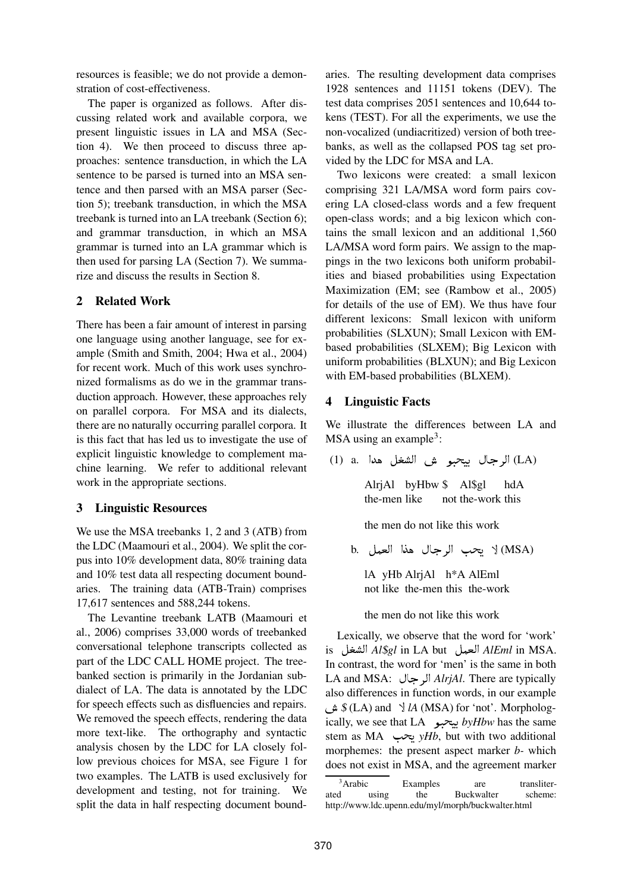resources is feasible; we do not provide a demonstration of cost-effectiveness.

The paper is organized as follows. After discussing related work and available corpora, we present linguistic issues in LA and MSA (Section 4). We then proceed to discuss three approaches: sentence transduction, in which the LA sentence to be parsed is turned into an MSA sentence and then parsed with an MSA parser (Section 5); treebank transduction, in which the MSA treebank is turned into an LA treebank (Section 6); and grammar transduction, in which an MSA grammar is turned into an LA grammar which is then used for parsing LA (Section 7). We summarize and discuss the results in Section 8.

## **2 Related Work**

There has been a fair amount of interest in parsing one language using another language, see for example (Smith and Smith, 2004; Hwa et al., 2004) for recent work. Much of this work uses synchronized formalisms as do we in the grammar transduction approach. However, these approaches rely on parallel corpora. For MSA and its dialects, there are no naturally occurring parallel corpora. It is this fact that has led us to investigate the use of explicit linguistic knowledge to complement machine learning. We refer to additional relevant work in the appropriate sections.

### **3 Linguistic Resources**

We use the MSA treebanks 1, 2 and 3 (ATB) from the LDC (Maamouri et al., 2004). We split the corpus into 10% development data, 80% training data and 10% test data all respecting document boundaries. The training data (ATB-Train) comprises 17,617 sentences and 588,244 tokens.

The Levantine treebank LATB (Maamouri et al., 2006) comprises 33,000 words of treebanked conversational telephone transcripts collected as part of the LDC CALL HOME project. The treebanked section is primarily in the Jordanian subdialect of LA. The data is annotated by the LDC for speech effects such as disfluencies and repairs. We removed the speech effects, rendering the data more text-like. The orthography and syntactic analysis chosen by the LDC for LA closely follow previous choices for MSA, see Figure 1 for two examples. The LATB is used exclusively for development and testing, not for training. We split the data in half respecting document boundaries. The resulting development data comprises 1928 sentences and 11151 tokens (DEV). The test data comprises 2051 sentences and 10,644 tokens (TEST). For all the experiments, we use the non-vocalized (undiacritized) version of both treebanks, as well as the collapsed POS tag set provided by the LDC for MSA and LA.

Two lexicons were created: a small lexicon comprising 321 LA/MSA word form pairs covering LA closed-class words and a few frequent open-class words; and a big lexicon which contains the small lexicon and an additional 1,560 LA/MSA word form pairs. We assign to the mappings in the two lexicons both uniform probabilities and biased probabilities using Expectation Maximization (EM; see (Rambow et al., 2005) for details of the use of EM). We thus have four different lexicons: Small lexicon with uniform probabilities (SLXUN); Small Lexicon with EMbased probabilities (SLXEM); Big Lexicon with uniform probabilities (BLXUN); and Big Lexicon with EM-based probabilities (BLXEM).

### **4 Linguistic Facts**

We illustrate the differences between LA and  $MSA$  using an example<sup>3</sup>:

(LA) الرجال بيحبو ش الشغل هدا .a. الد)

AlrjAl byHbw \$ Al\$gl the-men like not the-work this hdA

the men do not like this work

b. يحب الرجال هذا العمل b. ل

lA yHb AlrjAl h\*A AlEml not like the-men this the-work

the men do not like this work

Lexically, we observe that the word for 'work' is ) *Al*\$*gl* in LA but \* *AlEml* in MSA. In contrast, the word for 'men' is the same in both LA and MSA: *AlrjAl*. There are typically  \$ (LA) and ( *lA* (MSA) for 'not'. Morphologalso differences in function words, in our example ically, we see that LA *byHbw* has the same stem as MA  $\rightarrow$  *yHb*, but with two additional morphemes: the present aspect marker *b-* which does not exist in MSA, and the agreement marker

 $\frac{3}{3}$ Arabic Examples are transliter-<br>ated using the Buckwalter scheme: the Buckwalter http://www.ldc.upenn.edu/myl/morph/buckwalter.html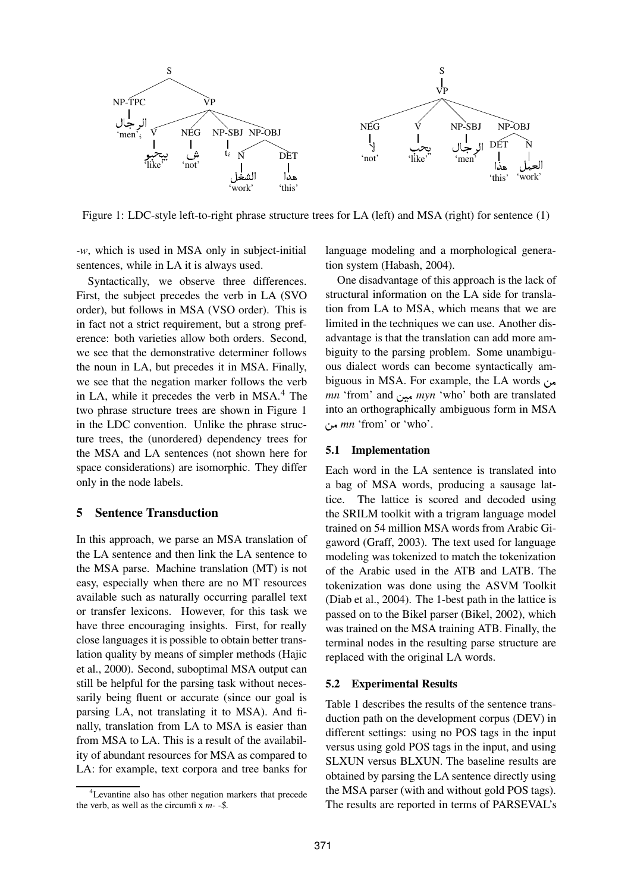

Figure 1: LDC-style left-to-right phrase structure trees for LA (left) and MSA (right) for sentence (1)

*-w*, which is used in MSA only in subject-initial sentences, while in LA it is always used.

Syntactically, we observe three differences. First, the subject precedes the verb in LA (SVO order), but follows in MSA (VSO order). This is in fact not a strict requirement, but a strong preference: both varieties allow both orders. Second, we see that the demonstrative determiner follows the noun in LA, but precedes it in MSA. Finally, we see that the negation marker follows the verb in LA, while it precedes the verb in  $MSA<sup>4</sup>$ . The two phrase structure trees are shown in Figure 1 in the LDC convention. Unlike the phrase structure trees, the (unordered) dependency trees for the MSA and LA sentences (not shown here for space considerations) are isomorphic. They differ only in the node labels.

#### **5 Sentence Transduction**

In this approach, we parse an MSA translation of the LA sentence and then link the LA sentence to the MSA parse. Machine translation (MT) is not easy, especially when there are no MT resources available such as naturally occurring parallel text or transfer lexicons. However, for this task we have three encouraging insights. First, for really close languages it is possible to obtain better translation quality by means of simpler methods (Hajic et al., 2000). Second, suboptimal MSA output can still be helpful for the parsing task without necessarily being fluent or accurate (since our goal is parsing LA, not translating it to MSA). And finally, translation from LA to MSA is easier than from MSA to LA. This is a result of the availability of abundant resources for MSA as compared to LA: for example, text corpora and tree banks for

language modeling and a morphological generation system (Habash, 2004).

One disadvantage of this approach is the lack of structural information on the LA side for translation from LA to MSA, which means that we are limited in the techniques we can use. Another disadvantage is that the translation can add more ambiguity to the parsing problem. Some unambiguous dialect words can become syntactically ambiguous in MSA. For example, the LA words *mn* 'from' and *myn* 'who' both are translated into an orthographically ambiguous form in MSA - *mn* 'from' or 'who'.

#### **5.1 Implementation**

Each word in the LA sentence is translated into a bag of MSA words, producing a sausage lattice. The lattice is scored and decoded using the SRILM toolkit with a trigram language model trained on 54 million MSA words from Arabic Gigaword (Graff, 2003). The text used for language modeling was tokenized to match the tokenization of the Arabic used in the ATB and LATB. The tokenization was done using the ASVM Toolkit (Diab et al., 2004). The 1-best path in the lattice is passed on to the Bikel parser (Bikel, 2002), which was trained on the MSA training ATB. Finally, the terminal nodes in the resulting parse structure are replaced with the original LA words.

#### **5.2 Experimental Results**

Table 1 describes the results of the sentence transduction path on the development corpus (DEV) in different settings: using no POS tags in the input versus using gold POS tags in the input, and using SLXUN versus BLXUN. The baseline results are obtained by parsing the LA sentence directly using the MSA parser (with and without gold POS tags). The results are reported in terms of PARSEVAL's

<sup>4</sup>Levantine also has other negation markers that precede the verb, as well as the circumfi x *m- -*\$.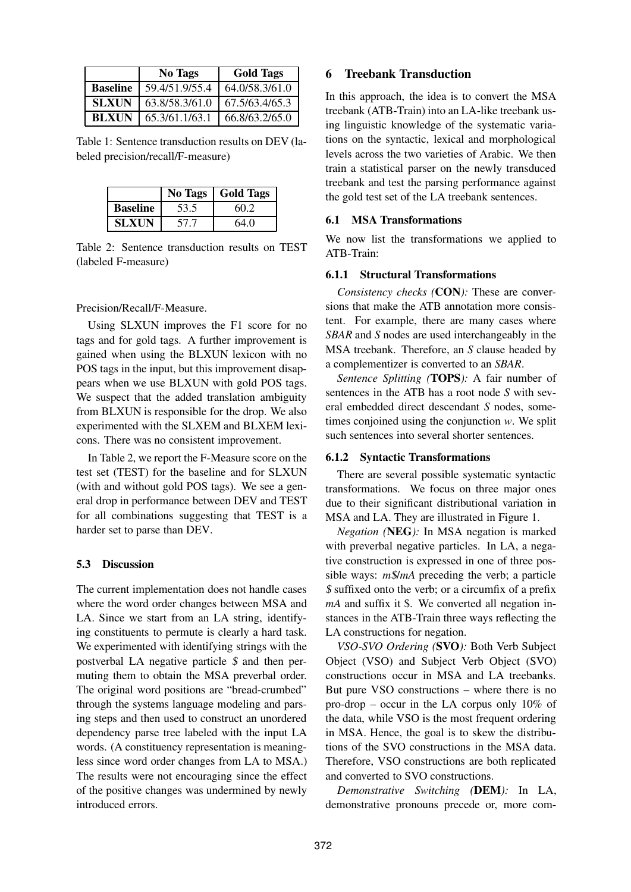|                 | <b>No Tags</b> | <b>Gold Tags</b> |
|-----------------|----------------|------------------|
| <b>Baseline</b> | 59.4/51.9/55.4 | 64.0/58.3/61.0   |
| <b>SLXUN</b>    | 63.8/58.3/61.0 | 67.5/63.4/65.3   |
| <b>BLXUN</b>    | 65.3/61.1/63.1 | 66.8/63.2/65.0   |

Table 1: Sentence transduction results on DEV (labeled precision/recall/F-measure)

|                 | <b>No Tags</b> | <b>Gold Tags</b> |
|-----------------|----------------|------------------|
| <b>Baseline</b> | 53.5           | 60.2             |
| <b>SLXUN</b>    | 57.7           | 64.0             |

Table 2: Sentence transduction results on TEST (labeled F-measure)

### Precision/Recall/F-Measure.

Using SLXUN improves the F1 score for no tags and for gold tags. A further improvement is gained when using the BLXUN lexicon with no POS tags in the input, but this improvement disappears when we use BLXUN with gold POS tags. We suspect that the added translation ambiguity from BLXUN is responsible for the drop. We also experimented with the SLXEM and BLXEM lexicons. There was no consistent improvement.

In Table 2, we report the F-Measure score on the test set (TEST) for the baseline and for SLXUN (with and without gold POS tags). We see a general drop in performance between DEV and TEST for all combinations suggesting that TEST is a harder set to parse than DEV.

### **5.3 Discussion**

The current implementation does not handle cases where the word order changes between MSA and LA. Since we start from an LA string, identifying constituents to permute is clearly a hard task. We experimented with identifying strings with the postverbal LA negative particle \$ and then permuting them to obtain the MSA preverbal order. The original word positions are "bread-crumbed" through the systems language modeling and parsing steps and then used to construct an unordered dependency parse tree labeled with the input LA words. (A constituency representation is meaningless since word order changes from LA to MSA.) The results were not encouraging since the effect of the positive changes was undermined by newly introduced errors.

## **6 Treebank Transduction**

In this approach, the idea is to convert the MSA treebank (ATB-Train) into an LA-like treebank using linguistic knowledge of the systematic variations on the syntactic, lexical and morphological levels across the two varieties of Arabic. We then train a statistical parser on the newly transduced treebank and test the parsing performance against the gold test set of the LA treebank sentences.

### **6.1 MSA Transformations**

We now list the transformations we applied to ATB-Train:

### **6.1.1 Structural Transformations**

*Consistency checks (***CON***):* These are conversions that make the ATB annotation more consistent. For example, there are many cases where *SBAR* and *S* nodes are used interchangeably in the MSA treebank. Therefore, an *S* clause headed by a complementizer is converted to an *SBAR*.

*Sentence Splitting (***TOPS***):* A fair number of sentences in the ATB has a root node *S* with several embedded direct descendant *S* nodes, sometimes conjoined using the conjunction *w*. We split such sentences into several shorter sentences.

### **6.1.2 Syntactic Transformations**

There are several possible systematic syntactic transformations. We focus on three major ones due to their significant distributional variation in MSA and LA. They are illustrated in Figure 1.

*Negation (***NEG***):* In MSA negation is marked with preverbal negative particles. In LA, a negative construction is expressed in one of three possible ways: *m*\$/*mA* preceding the verb; a particle \$ suffixed onto the verb; or a circumfix of a prefix *mA* and suffix it \$. We converted all negation instances in the ATB-Train three ways reflecting the LA constructions for negation.

*VSO-SVO Ordering (***SVO***):* Both Verb Subject Object (VSO) and Subject Verb Object (SVO) constructions occur in MSA and LA treebanks. But pure VSO constructions – where there is no pro-drop – occur in the LA corpus only 10% of the data, while VSO is the most frequent ordering in MSA. Hence, the goal is to skew the distributions of the SVO constructions in the MSA data. Therefore, VSO constructions are both replicated and converted to SVO constructions.

*Demonstrative Switching (***DEM***):* In LA, demonstrative pronouns precede or, more com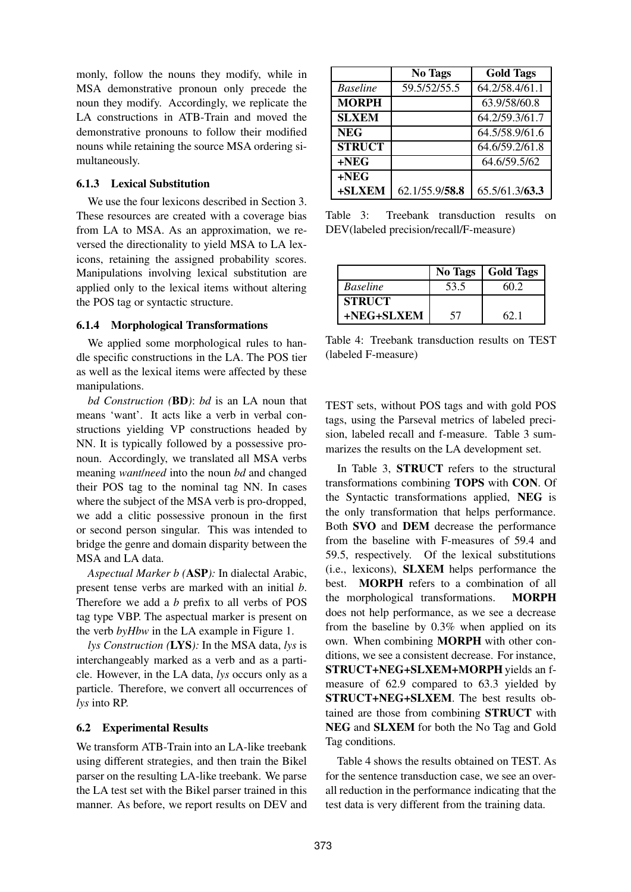monly, follow the nouns they modify, while in MSA demonstrative pronoun only precede the noun they modify. Accordingly, we replicate the LA constructions in ATB-Train and moved the demonstrative pronouns to follow their modified nouns while retaining the source MSA ordering simultaneously.

### **6.1.3 Lexical Substitution**

We use the four lexicons described in Section 3. These resources are created with a coverage bias from LA to MSA. As an approximation, we reversed the directionality to yield MSA to LA lexicons, retaining the assigned probability scores. Manipulations involving lexical substitution are applied only to the lexical items without altering the POS tag or syntactic structure.

### **6.1.4 Morphological Transformations**

We applied some morphological rules to handle specific constructions in the LA. The POS tier as well as the lexical items were affected by these manipulations.

*bd Construction (***BD***)*: *bd* is an LA noun that means 'want'. It acts like a verb in verbal constructions yielding VP constructions headed by NN. It is typically followed by a possessive pronoun. Accordingly, we translated all MSA verbs meaning *want*/*need* into the noun *bd* and changed their POS tag to the nominal tag NN. In cases where the subject of the MSA verb is pro-dropped, we add a clitic possessive pronoun in the first or second person singular. This was intended to bridge the genre and domain disparity between the MSA and LA data.

*Aspectual Marker b (***ASP***):* In dialectal Arabic, present tense verbs are marked with an initial *b*. Therefore we add a *b* prefix to all verbs of POS tag type VBP. The aspectual marker is present on the verb *byHbw* in the LA example in Figure 1.

*lys Construction (***LYS***):* In the MSA data, *lys* is interchangeably marked as a verb and as a particle. However, in the LA data, *lys* occurs only as a particle. Therefore, we convert all occurrences of *lys* into RP.

### **6.2 Experimental Results**

We transform ATB-Train into an LA-like treebank using different strategies, and then train the Bikel parser on the resulting LA-like treebank. We parse the LA test set with the Bikel parser trained in this manner. As before, we report results on DEV and

|                 | <b>No Tags</b> | <b>Gold Tags</b> |
|-----------------|----------------|------------------|
| <b>Baseline</b> | 59.5/52/55.5   | 64.2/58.4/61.1   |
| <b>MORPH</b>    |                | 63.9/58/60.8     |
| <b>SLXEM</b>    |                | 64.2/59.3/61.7   |
| <b>NEG</b>      |                | 64.5/58.9/61.6   |
| <b>STRUCT</b>   |                | 64.6/59.2/61.8   |
| $+NEG$          |                | 64.6/59.5/62     |
| $+NEG$          |                |                  |
| +SLXEM          | 62.1/55.9/58.8 | 65.5/61.3/63.3   |

Table 3: Treebank transduction results on DEV(labeled precision/recall/F-measure)

|                 | No Tags | <b>Gold Tags</b> |
|-----------------|---------|------------------|
| <b>Baseline</b> | 53.5    | 60 2             |
| <b>STRUCT</b>   |         |                  |
| +NEG+SLXEM      | 57      | 62 1             |

Table 4: Treebank transduction results on TEST (labeled F-measure)

TEST sets, without POS tags and with gold POS tags, using the Parseval metrics of labeled precision, labeled recall and f-measure. Table 3 summarizes the results on the LA development set.

In Table 3, **STRUCT** refers to the structural transformations combining **TOPS** with **CON**. Of the Syntactic transformations applied, **NEG** is the only transformation that helps performance. Both **SVO** and **DEM** decrease the performance from the baseline with F-measures of 59.4 and 59.5, respectively. Of the lexical substitutions (i.e., lexicons), **SLXEM** helps performance the best. **MORPH** refers to a combination of all the morphological transformations. **MORPH** does not help performance, as we see a decrease from the baseline by 0.3% when applied on its own. When combining **MORPH** with other conditions, we see a consistent decrease. For instance, **STRUCT+NEG+SLXEM+MORPH** yields an fmeasure of 62.9 compared to 63.3 yielded by **STRUCT+NEG+SLXEM**. The best results obtained are those from combining **STRUCT** with **NEG** and **SLXEM** for both the No Tag and Gold Tag conditions.

Table 4 shows the results obtained on TEST. As for the sentence transduction case, we see an overall reduction in the performance indicating that the test data is very different from the training data.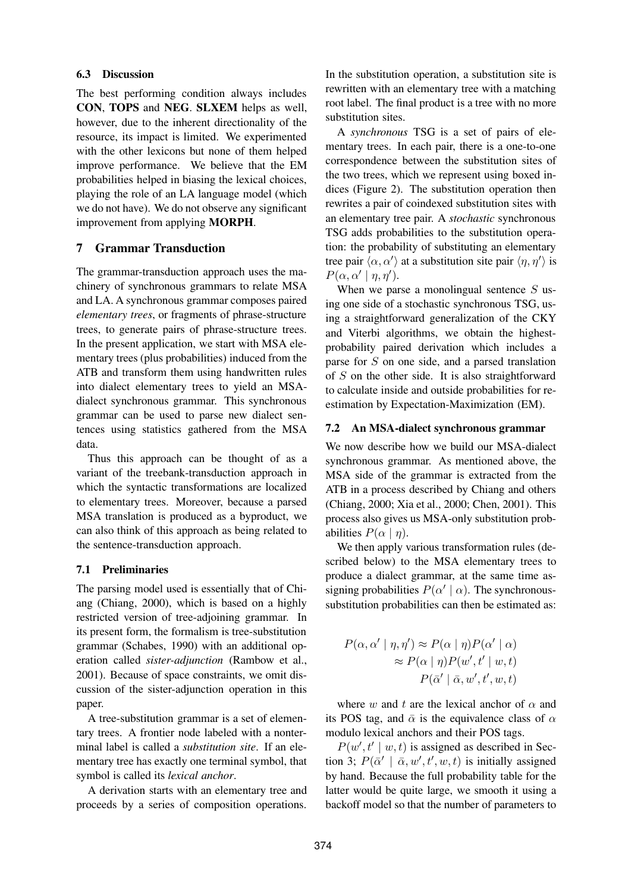### **6.3 Discussion**

The best performing condition always includes **CON**, **TOPS** and **NEG**. **SLXEM** helps as well, however, due to the inherent directionality of the resource, its impact is limited. We experimented with the other lexicons but none of them helped improve performance. We believe that the EM probabilities helped in biasing the lexical choices, playing the role of an LA language model (which we do not have). We do not observe any significant improvement from applying **MORPH**.

## **7 Grammar Transduction**

The grammar-transduction approach uses the machinery of synchronous grammars to relate MSA and LA. A synchronous grammar composes paired *elementary trees*, or fragments of phrase-structure trees, to generate pairs of phrase-structure trees. In the present application, we start with MSA elementary trees (plus probabilities) induced from the ATB and transform them using handwritten rules into dialect elementary trees to yield an MSAdialect synchronous grammar. This synchronous grammar can be used to parse new dialect sentences using statistics gathered from the MSA data.

Thus this approach can be thought of as a variant of the treebank-transduction approach in which the syntactic transformations are localized to elementary trees. Moreover, because a parsed MSA translation is produced as a byproduct, we can also think of this approach as being related to the sentence-transduction approach.

#### **7.1 Preliminaries**

The parsing model used is essentially that of Chiang (Chiang, 2000), which is based on a highly restricted version of tree-adjoining grammar. In its present form, the formalism is tree-substitution grammar (Schabes, 1990) with an additional operation called *sister-adjunction* (Rambow et al., 2001). Because of space constraints, we omit discussion of the sister-adjunction operation in this paper.

A tree-substitution grammar is a set of elementary trees. A frontier node labeled with a nonterminal label is called a *substitution site*. If an elementary tree has exactly one terminal symbol, that symbol is called its *lexical anchor*.

A derivation starts with an elementary tree and proceeds by a series of composition operations.

In the substitution operation, a substitution site is rewritten with an elementary tree with a matching root label. The final product is a tree with no more substitution sites.

A *synchronous* TSG is a set of pairs of elementary trees. In each pair, there is a one-to-one correspondence between the substitution sites of the two trees, which we represent using boxed indices (Figure 2). The substitution operation then rewrites a pair of coindexed substitution sites with an elementary tree pair. A *stochastic* synchronous TSG adds probabilities to the substitution operation: the probability of substituting an elementary tree pair  $\langle \alpha, \alpha' \rangle$  at a substitution site pair  $\langle \eta, \eta' \rangle$  is  $P(\alpha, \alpha' \mid \eta, \eta').$ 

When we parse a monolingual sentence  $S$  using one side of a stochastic synchronous TSG, using a straightforward generalization of the CKY and Viterbi algorithms, we obtain the highestprobability paired derivation which includes a parse for S on one side, and a parsed translation of  $S$  on the other side. It is also straightforward to calculate inside and outside probabilities for reestimation by Expectation-Maximization (EM).

#### **7.2 An MSA-dialect synchronous grammar**

We now describe how we build our MSA-dialect synchronous grammar. As mentioned above, the MSA side of the grammar is extracted from the ATB in a process described by Chiang and others (Chiang, 2000; Xia et al., 2000; Chen, 2001). This process also gives us MSA-only substitution probabilities  $P(\alpha | \eta)$ .

We then apply various transformation rules (described below) to the MSA elementary trees to produce a dialect grammar, at the same time assigning probabilities  $P(\alpha' | \alpha)$ . The synchronoussubstitution probabilities can then be estimated as:

$$
P(\alpha, \alpha' \mid \eta, \eta') \approx P(\alpha \mid \eta) P(\alpha' \mid \alpha)
$$
  
\n
$$
\approx P(\alpha \mid \eta) P(w', t' \mid w, t)
$$
  
\n
$$
P(\bar{\alpha}' \mid \bar{\alpha}, w', t', w, t)
$$

where w and t are the lexical anchor of  $\alpha$  and its POS tag, and  $\bar{\alpha}$  is the equivalence class of  $\alpha$ modulo lexical anchors and their POS tags.

 $P(w', t' | w, t)$  is assigned as described in Section 3;  $P(\bar{\alpha}' | \bar{\alpha}, w', t', w, t)$  is initially assigned by hand. Because the full probability table for the latter would be quite large, we smooth it using a backoff model so that the number of parameters to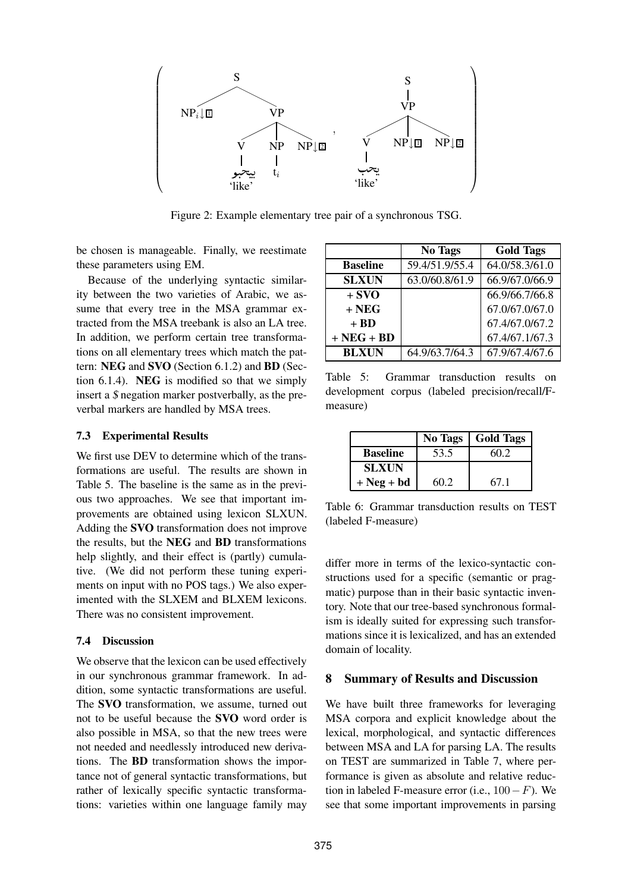

Figure 2: Example elementary tree pair of a synchronous TSG.

be chosen is manageable. Finally, we reestimate these parameters using EM.

Because of the underlying syntactic similarity between the two varieties of Arabic, we assume that every tree in the MSA grammar extracted from the MSA treebank is also an LA tree. In addition, we perform certain tree transformations on all elementary trees which match the pattern: **NEG** and **SVO** (Section 6.1.2) and **BD** (Section 6.1.4). **NEG** is modified so that we simply insert a \$ negation marker postverbally, as the preverbal markers are handled by MSA trees.

### **7.3 Experimental Results**

We first use DEV to determine which of the transformations are useful. The results are shown in Table 5. The baseline is the same as in the previous two approaches. We see that important improvements are obtained using lexicon SLXUN. Adding the **SVO** transformation does not improve the results, but the **NEG** and **BD** transformations help slightly, and their effect is (partly) cumulative. (We did not perform these tuning experiments on input with no POS tags.) We also experimented with the SLXEM and BLXEM lexicons. There was no consistent improvement.

#### **7.4 Discussion**

We observe that the lexicon can be used effectively in our synchronous grammar framework. In addition, some syntactic transformations are useful. The **SVO** transformation, we assume, turned out not to be useful because the **SVO** word order is also possible in MSA, so that the new trees were not needed and needlessly introduced new derivations. The **BD** transformation shows the importance not of general syntactic transformations, but rather of lexically specific syntactic transformations: varieties within one language family may

|                 | <b>No Tags</b> | <b>Gold Tags</b> |
|-----------------|----------------|------------------|
| <b>Baseline</b> | 59.4/51.9/55.4 | 64.0/58.3/61.0   |
| <b>SLXUN</b>    | 63.0/60.8/61.9 | 66.9/67.0/66.9   |
| $+$ SVO         |                | 66.9/66.7/66.8   |
| $+NEG$          |                | 67.0/67.0/67.0   |
| $+ BD$          |                | 67.4/67.0/67.2   |
| $+NEG + BD$     |                | 67.4/67.1/67.3   |
| <b>BLXUN</b>    | 64.9/63.7/64.3 | 67.9/67.4/67.6   |

Table 5: Grammar transduction results on development corpus (labeled precision/recall/Fmeasure)

|                 | <b>No Tags</b> | <b>Gold Tags</b> |
|-----------------|----------------|------------------|
| <b>Baseline</b> | 53.5           | 60.2             |
| <b>SLXUN</b>    |                |                  |
| $+$ Neg + bd    | 60 2.          | 67 1             |

Table 6: Grammar transduction results on TEST (labeled F-measure)

differ more in terms of the lexico-syntactic constructions used for a specific (semantic or pragmatic) purpose than in their basic syntactic inventory. Note that our tree-based synchronous formalism is ideally suited for expressing such transformations since it is lexicalized, and has an extended domain of locality.

### **8 Summary of Results and Discussion**

We have built three frameworks for leveraging MSA corpora and explicit knowledge about the lexical, morphological, and syntactic differences between MSA and LA for parsing LA. The results on TEST are summarized in Table 7, where performance is given as absolute and relative reduction in labeled F-measure error (i.e.,  $100-F$ ). We see that some important improvements in parsing